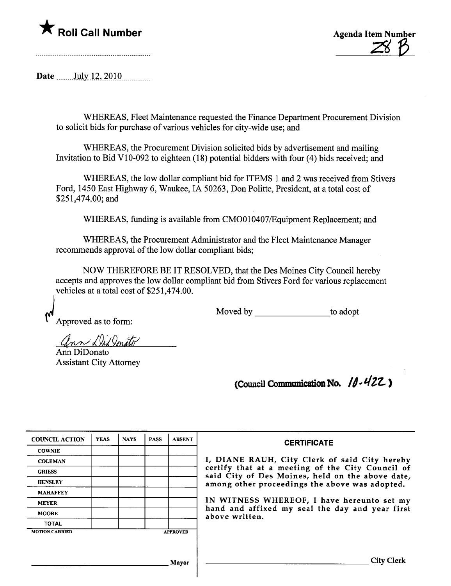



Date  $_{\text{July 12, 2010}}$ 

WHEREAS, Fleet Maintenance requested the Finance Deparment Procurement Division to solicit bids for purchase of various vehicles for city-wide use; and

WHEREAS, the Procurement Division solicited bids by advertisement and mailing Invitation to Bid V10-092 to eighteen (18) potential bidders with four (4) bids received; and

WHEREAS, the low dollar compliant bid for ITEMS 1 and 2 was received from Stivers Ford, 1450 East Highway 6, Waukee, IA 50263, Don Politte, President, at a total cost of \$251,474.00; and

WHEREAS, funding is available from CMO010407/Equipment Replacement; and

WHEREAS, the Procurement Administrator and the Fleet Maintenance Manager recommends approval of the low dollar compliant bids;

NOW THEREFORE BE IT RESOLVED, that the Des Moines City Council hereby accepts and approves the low dollar compliant bid from Stivers Ford for various replacement vehicles at a total cost of \$251,474.00.

 $M_{\text{Approved as to form:}}$  Moved by  $\_\_\_\_\_\_\_\$  to adopt

ann DiDonato

Ann DiDonato Assistant City Attorney

(Council Communication No.  $10.422$ )

| <b>COUNCIL ACTION</b> | <b>YEAS</b> | <b>NAYS</b> | <b>PASS</b> | <b>ABSENT</b>   | <b>CERTIFICATE</b>                                                                                   |
|-----------------------|-------------|-------------|-------------|-----------------|------------------------------------------------------------------------------------------------------|
| <b>COWNIE</b>         |             |             |             |                 |                                                                                                      |
| <b>COLEMAN</b>        |             |             |             |                 | I, DIANE RAUH, City Clerk of said City hereby                                                        |
| <b>GRIESS</b>         |             |             |             |                 | certify that at a meeting of the City Council of<br>said City of Des Moines, held on the above date, |
| <b>HENSLEY</b>        |             |             |             |                 | among other proceedings the above was adopted.                                                       |
| <b>MAHAFFEY</b>       |             |             |             |                 |                                                                                                      |
| <b>MEYER</b>          |             |             |             |                 | IN WITNESS WHEREOF, I have hereunto set my                                                           |
| <b>MOORE</b>          |             |             |             |                 | hand and affixed my seal the day and year first<br>above written.                                    |
| <b>TOTAL</b>          |             |             |             |                 |                                                                                                      |
| <b>MOTION CARRIED</b> |             |             |             | <b>APPROVED</b> |                                                                                                      |
|                       |             |             |             |                 |                                                                                                      |
|                       |             |             |             |                 |                                                                                                      |
|                       |             |             |             | Mayor           | Citv                                                                                                 |